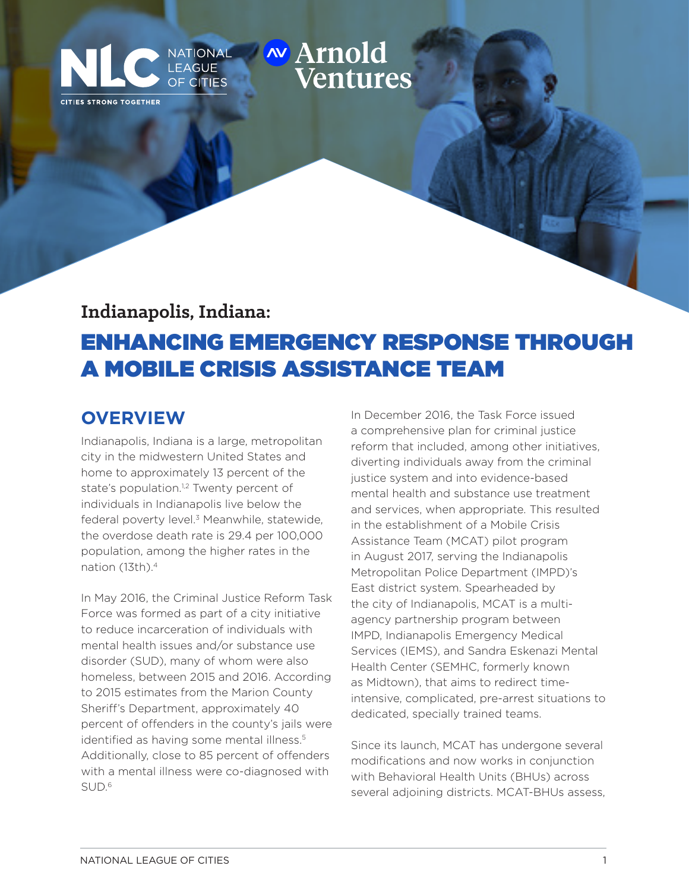# **INATIONAL WATIOLE ASSISTANCE AND EXAGUE**

## **Indianapolis, Indiana:** ENHANCING EMERGENCY RESPONSE THROUGH A MOBILE CRISIS ASSISTANCE TEAM

#### **OVERVIEW**

CITIES STRONG TOGETHER

Indianapolis, Indiana is a large, metropolitan city in the midwestern United States and home to approximately 13 percent of the state's population.<sup>1,2</sup> Twenty percent of individuals in Indianapolis live below the federal poverty level.<sup>3</sup> Meanwhile, statewide, the overdose death rate is 29.4 per 100,000 population, among the higher rates in the nation (13th).4

**OF CITIES** 

In May 2016, the Criminal Justice Reform Task Force was formed as part of a city initiative to reduce incarceration of individuals with mental health issues and/or substance use disorder (SUD), many of whom were also homeless, between 2015 and 2016. According to 2015 estimates from the Marion County Sheriff's Department, approximately 40 percent of offenders in the county's jails were identified as having some mental illness.<sup>5</sup> Additionally, close to 85 percent of offenders with a mental illness were co-diagnosed with SUD.6

In December 2016, the Task Force issued a comprehensive plan for criminal justice reform that included, among other initiatives, diverting individuals away from the criminal justice system and into evidence-based mental health and substance use treatment and services, when appropriate. This resulted in the establishment of a Mobile Crisis Assistance Team (MCAT) pilot program in August 2017, serving the Indianapolis Metropolitan Police Department (IMPD)'s East district system. Spearheaded by the city of Indianapolis, MCAT is a multiagency partnership program between IMPD, Indianapolis Emergency Medical Services (IEMS), and Sandra Eskenazi Mental Health Center (SEMHC, formerly known as Midtown), that aims to redirect timeintensive, complicated, pre-arrest situations to dedicated, specially trained teams.

Since its launch, MCAT has undergone several modifications and now works in conjunction with Behavioral Health Units (BHUs) across several adjoining districts. MCAT-BHUs assess,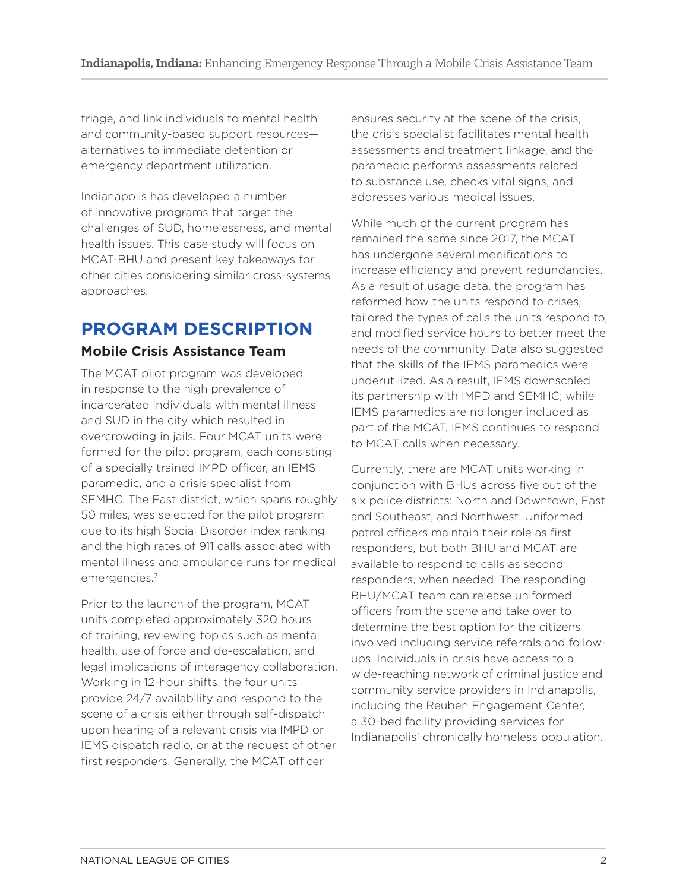triage, and link individuals to mental health and community-based support resources alternatives to immediate detention or emergency department utilization.

Indianapolis has developed a number of innovative programs that target the challenges of SUD, homelessness, and mental health issues. This case study will focus on MCAT-BHU and present key takeaways for other cities considering similar cross-systems approaches.

## **PROGRAM DESCRIPTION**

#### **Mobile Crisis Assistance Team**

The MCAT pilot program was developed in response to the high prevalence of incarcerated individuals with mental illness and SUD in the city which resulted in overcrowding in jails. Four MCAT units were formed for the pilot program, each consisting of a specially trained IMPD officer, an IEMS paramedic, and a crisis specialist from SEMHC. The East district, which spans roughly 50 miles, was selected for the pilot program due to its high Social Disorder Index ranking and the high rates of 911 calls associated with mental illness and ambulance runs for medical emergencies.7

Prior to the launch of the program, MCAT units completed approximately 320 hours of training, reviewing topics such as mental health, use of force and de-escalation, and legal implications of interagency collaboration. Working in 12-hour shifts, the four units provide 24/7 availability and respond to the scene of a crisis either through self-dispatch upon hearing of a relevant crisis via IMPD or IEMS dispatch radio, or at the request of other first responders. Generally, the MCAT officer

ensures security at the scene of the crisis, the crisis specialist facilitates mental health assessments and treatment linkage, and the paramedic performs assessments related to substance use, checks vital signs, and addresses various medical issues.

While much of the current program has remained the same since 2017, the MCAT has undergone several modifications to increase efficiency and prevent redundancies. As a result of usage data, the program has reformed how the units respond to crises, tailored the types of calls the units respond to, and modified service hours to better meet the needs of the community. Data also suggested that the skills of the IEMS paramedics were underutilized. As a result, IEMS downscaled its partnership with IMPD and SEMHC; while IEMS paramedics are no longer included as part of the MCAT, IEMS continues to respond to MCAT calls when necessary.

Currently, there are MCAT units working in conjunction with BHUs across five out of the six police districts: North and Downtown, East and Southeast, and Northwest. Uniformed patrol officers maintain their role as first responders, but both BHU and MCAT are available to respond to calls as second responders, when needed. The responding BHU/MCAT team can release uniformed officers from the scene and take over to determine the best option for the citizens involved including service referrals and followups. Individuals in crisis have access to a wide-reaching network of criminal justice and community service providers in Indianapolis, including the Reuben Engagement Center, a 30-bed facility providing services for Indianapolis' chronically homeless population.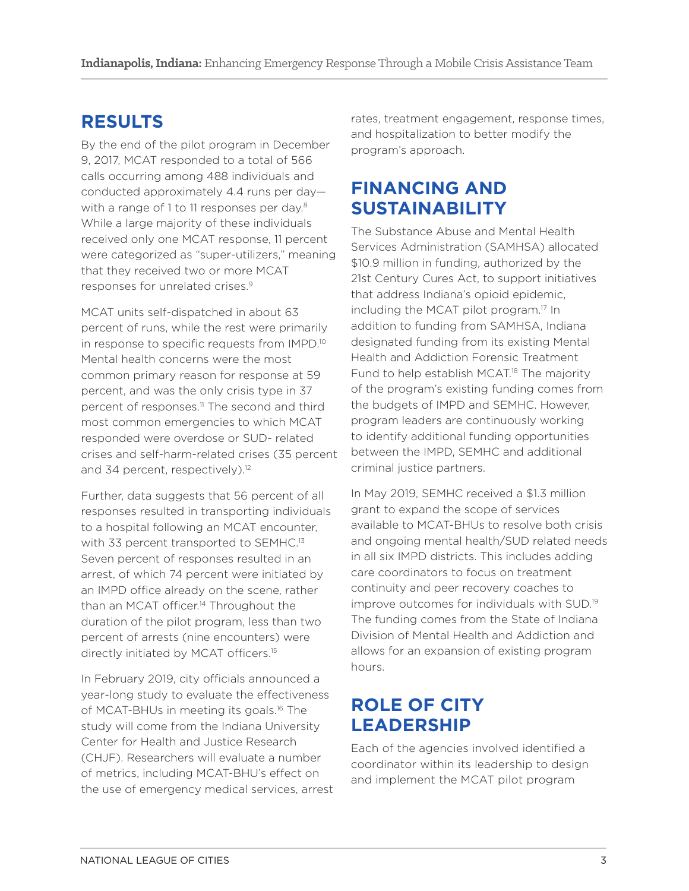#### **RESULTS**

By the end of the pilot program in December 9, 2017, MCAT responded to a total of 566 calls occurring among 488 individuals and conducted approximately 4.4 runs per day with a range of 1 to 11 responses per day.<sup>8</sup> While a large majority of these individuals received only one MCAT response, 11 percent were categorized as "super-utilizers," meaning that they received two or more MCAT responses for unrelated crises.9

MCAT units self-dispatched in about 63 percent of runs, while the rest were primarily in response to specific requests from IMPD.10 Mental health concerns were the most common primary reason for response at 59 percent, and was the only crisis type in 37 percent of responses.<sup>11</sup> The second and third most common emergencies to which MCAT responded were overdose or SUD- related crises and self-harm-related crises (35 percent and 34 percent, respectively).<sup>12</sup>

Further, data suggests that 56 percent of all responses resulted in transporting individuals to a hospital following an MCAT encounter, with 33 percent transported to SEMHC.<sup>13</sup> Seven percent of responses resulted in an arrest, of which 74 percent were initiated by an IMPD office already on the scene, rather than an MCAT officer.<sup>14</sup> Throughout the duration of the pilot program, less than two percent of arrests (nine encounters) were directly initiated by MCAT officers.<sup>15</sup>

In February 2019, city officials announced a year-long study to evaluate the effectiveness of MCAT-BHUs in meeting its goals.16 The study will come from the Indiana University Center for Health and Justice Research (CHJF). Researchers will evaluate a number of metrics, including MCAT-BHU's effect on the use of emergency medical services, arrest rates, treatment engagement, response times, and hospitalization to better modify the program's approach.

#### **FINANCING AND SUSTAINABILITY**

The Substance Abuse and Mental Health Services Administration (SAMHSA) allocated \$10.9 million in funding, authorized by the 21st Century Cures Act, to support initiatives that address Indiana's opioid epidemic, including the MCAT pilot program.<sup>17</sup> In addition to funding from SAMHSA, Indiana designated funding from its existing Mental Health and Addiction Forensic Treatment Fund to help establish MCAT.<sup>18</sup> The majority of the program's existing funding comes from the budgets of IMPD and SEMHC. However, program leaders are continuously working to identify additional funding opportunities between the IMPD, SEMHC and additional criminal justice partners.

In May 2019, SEMHC received a \$1.3 million grant to expand the scope of services available to MCAT-BHUs to resolve both crisis and ongoing mental health/SUD related needs in all six IMPD districts. This includes adding care coordinators to focus on treatment continuity and peer recovery coaches to improve outcomes for individuals with SUD.19 The funding comes from the State of Indiana Division of Mental Health and Addiction and allows for an expansion of existing program hours.

### **ROLE OF CITY LEADERSHIP**

Each of the agencies involved identified a coordinator within its leadership to design and implement the MCAT pilot program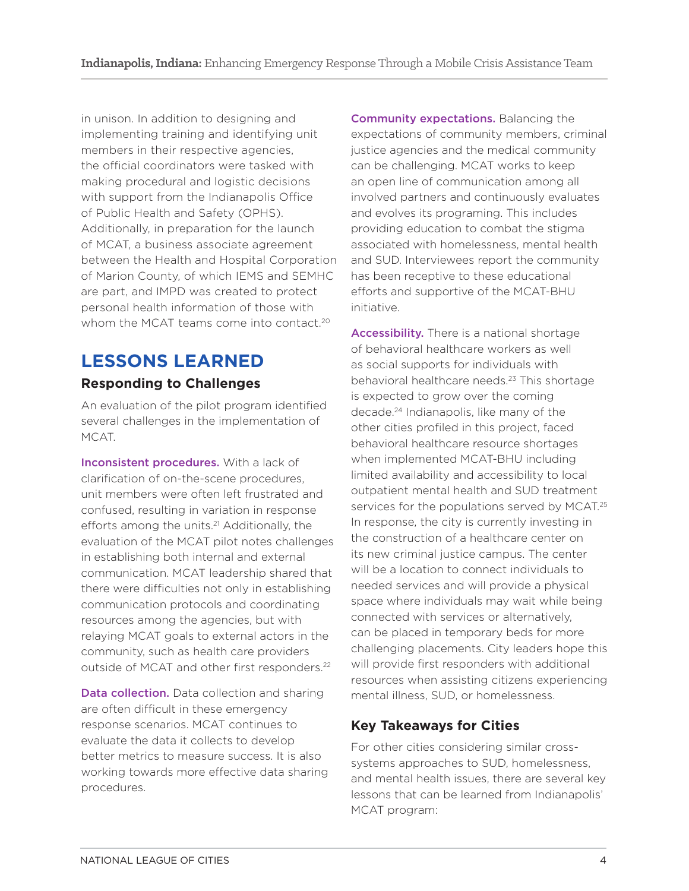in unison. In addition to designing and implementing training and identifying unit members in their respective agencies, the official coordinators were tasked with making procedural and logistic decisions with support from the Indianapolis Office of Public Health and Safety (OPHS). Additionally, in preparation for the launch of MCAT, a business associate agreement between the Health and Hospital Corporation of Marion County, of which IEMS and SEMHC are part, and IMPD was created to protect personal health information of those with whom the MCAT teams come into contact.<sup>20</sup>

#### **LESSONS LEARNED Responding to Challenges**

An evaluation of the pilot program identified several challenges in the implementation of MCAT.

Inconsistent procedures. With a lack of clarification of on-the-scene procedures, unit members were often left frustrated and confused, resulting in variation in response efforts among the units.<sup>21</sup> Additionally, the evaluation of the MCAT pilot notes challenges in establishing both internal and external communication. MCAT leadership shared that there were difficulties not only in establishing communication protocols and coordinating resources among the agencies, but with relaying MCAT goals to external actors in the community, such as health care providers outside of MCAT and other first responders.<sup>22</sup>

Data collection. Data collection and sharing are often difficult in these emergency response scenarios. MCAT continues to evaluate the data it collects to develop better metrics to measure success. It is also working towards more effective data sharing procedures.

Community expectations. Balancing the expectations of community members, criminal justice agencies and the medical community can be challenging. MCAT works to keep an open line of communication among all involved partners and continuously evaluates and evolves its programing. This includes providing education to combat the stigma associated with homelessness, mental health and SUD. Interviewees report the community has been receptive to these educational efforts and supportive of the MCAT-BHU initiative.

Accessibility. There is a national shortage of behavioral healthcare workers as well as social supports for individuals with behavioral healthcare needs.<sup>23</sup> This shortage is expected to grow over the coming decade.<sup>24</sup> Indianapolis, like many of the other cities profiled in this project, faced behavioral healthcare resource shortages when implemented MCAT-BHU including limited availability and accessibility to local outpatient mental health and SUD treatment services for the populations served by MCAT.<sup>25</sup> In response, the city is currently investing in the construction of a healthcare center on its new criminal justice campus. The center will be a location to connect individuals to needed services and will provide a physical space where individuals may wait while being connected with services or alternatively, can be placed in temporary beds for more challenging placements. City leaders hope this will provide first responders with additional resources when assisting citizens experiencing mental illness, SUD, or homelessness.

#### **Key Takeaways for Cities**

For other cities considering similar crosssystems approaches to SUD, homelessness, and mental health issues, there are several key lessons that can be learned from Indianapolis' MCAT program: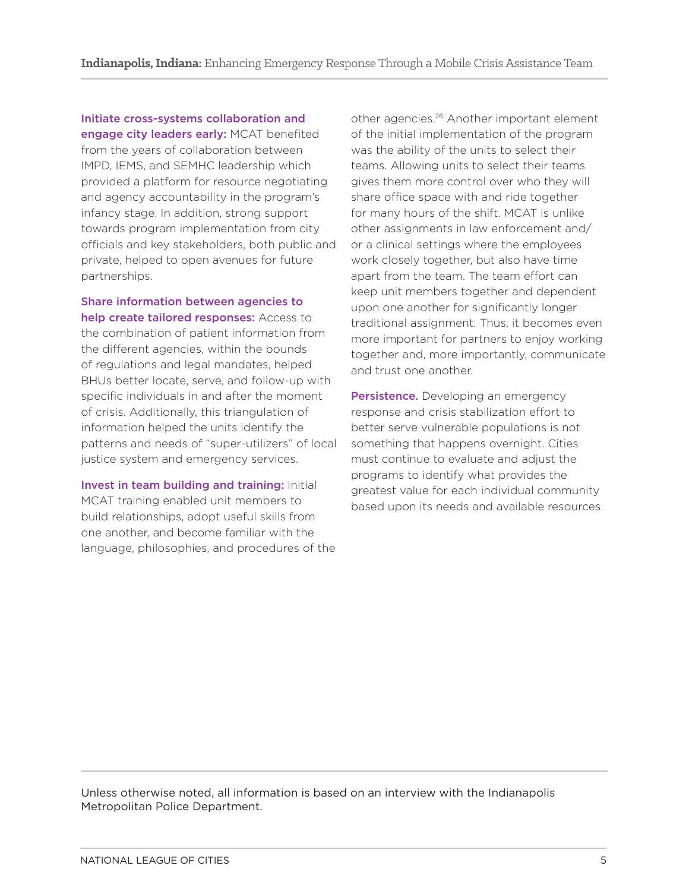Initiate cross-systems collaboration and engage city leaders early: MCAT benefited from the years of collaboration between IMPD, IEMS, and SEMHC leadership which provided a platform for resource negotiating and agency accountability in the program's infancy stage. In addition, strong support towards program implementation from city officials and key stakeholders, both public and private, helped to open avenues for future partnerships.

Share information between agencies to help create tailored responses: Access to the combination of patient information from the different agencies, within the bounds of regulations and legal mandates, helped BHUs better locate, serve, and follow-up with specific individuals in and after the moment of crisis. Additionally, this triangulation of information helped the units identify the patterns and needs of "super-utilizers" of local justice system and emergency services.

Invest in team building and training: Initial MCAT training enabled unit members to build relationships, adopt useful skills from one another, and become familiar with the language, philosophies, and procedures of the other agencies.26 Another important element of the initial implementation of the program was the ability of the units to select their teams. Allowing units to select their teams gives them more control over who they will share office space with and ride together for many hours of the shift. MCAT is unlike other assignments in law enforcement and/ or a clinical settings where the employees work closely together, but also have time apart from the team. The team effort can keep unit members together and dependent upon one another for significantly longer traditional assignment. Thus, it becomes even more important for partners to enjoy working together and, more importantly, communicate and trust one another.

Persistence. Developing an emergency response and crisis stabilization effort to better serve vulnerable populations is not something that happens overnight. Cities must continue to evaluate and adjust the programs to identify what provides the greatest value for each individual community based upon its needs and available resources.

Unless otherwise noted, all information is based on an interview with the Indianapolis Metropolitan Police Department.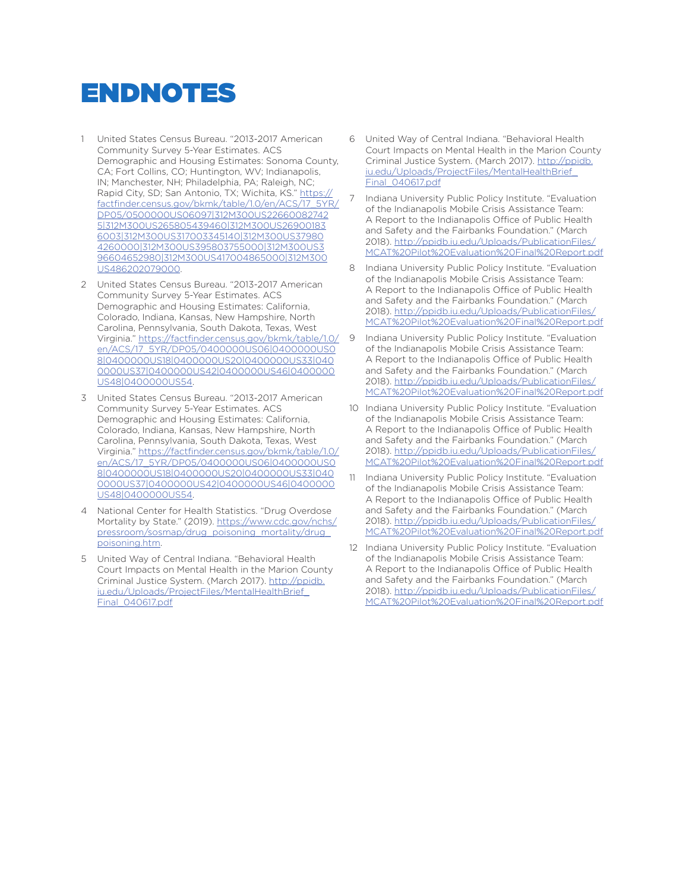# ENDNOTES

- 1 United States Census Bureau. "2013-2017 American Community Survey 5-Year Estimates. ACS Demographic and Housing Estimates: Sonoma County, CA; Fort Collins, CO; Huntington, WV; Indianapolis, IN; Manchester, NH; Philadelphia, PA; Raleigh, NC; Rapid City, SD; San Antonio, TX; Wichita, KS." https:// factfinder.census.gov/bkmk/table/1.0/en/ACS/17\_5YR/ DP05/0500000US06097|312M300US22660082742 5|312M300US265805439460|312M300US26900183 6003|312M300US317003345140|312M300US37980 4260000|312M300US395803755000|312M300US3 96604652980|312M300US417004865000|312M300 US486202079000.
- 2 United States Census Bureau. "2013-2017 American Community Survey 5-Year Estimates. ACS Demographic and Housing Estimates: California, Colorado, Indiana, Kansas, New Hampshire, North Carolina, Pennsylvania, South Dakota, Texas, West Virginia." https://factfinder.census.gov/bkmk/table/1.0/ en/ACS/17\_5YR/DP05/0400000US06|0400000US0 8|0400000US18|0400000US20|0400000US33|040 0000US37|0400000US42|0400000US46|0400000 US48|0400000US54.
- 3 United States Census Bureau. "2013-2017 American Community Survey 5-Year Estimates. ACS Demographic and Housing Estimates: California, Colorado, Indiana, Kansas, New Hampshire, North Carolina, Pennsylvania, South Dakota, Texas, West Virginia." https://factfinder.census.gov/bkmk/table/1.0/ en/ACS/17\_5YR/DP05/0400000US06|0400000US0 8|0400000US18|0400000US20|0400000US33|040 0000US37|0400000US42|0400000US46|0400000 US48|0400000US54.
- 4 National Center for Health Statistics. "Drug Overdose Mortality by State." (2019). https://www.cdc.gov/nchs/ pressroom/sosmap/drug\_poisoning\_mortality/drug\_ poisoning.htm.
- 5 United Way of Central Indiana. "Behavioral Health Court Impacts on Mental Health in the Marion County Criminal Justice System. (March 2017). http://ppidb. iu.edu/Uploads/ProjectFiles/MentalHealthBrief\_ Final\_040617.pdf
- 6 United Way of Central Indiana. "Behavioral Health Court Impacts on Mental Health in the Marion County Criminal Justice System. (March 2017). http://ppidb. iu.edu/Uploads/ProjectFiles/MentalHealthBrief\_ Final\_040617.pdf
- 7 Indiana University Public Policy Institute. "Evaluation of the Indianapolis Mobile Crisis Assistance Team: A Report to the Indianapolis Office of Public Health and Safety and the Fairbanks Foundation." (March 2018). http://ppidb.iu.edu/Uploads/PublicationFiles/ MCAT%20Pilot%20Evaluation%20Final%20Report.pdf
- 8 Indiana University Public Policy Institute. "Evaluation of the Indianapolis Mobile Crisis Assistance Team: A Report to the Indianapolis Office of Public Health and Safety and the Fairbanks Foundation." (March 2018). http://ppidb.iu.edu/Uploads/PublicationFiles/ MCAT%20Pilot%20Evaluation%20Final%20Report.pdf
- 9 Indiana University Public Policy Institute. "Evaluation of the Indianapolis Mobile Crisis Assistance Team: A Report to the Indianapolis Office of Public Health and Safety and the Fairbanks Foundation." (March 2018). http://ppidb.iu.edu/Uploads/PublicationFiles/ MCAT%20Pilot%20Evaluation%20Final%20Report.pdf
- 10 Indiana University Public Policy Institute. "Evaluation of the Indianapolis Mobile Crisis Assistance Team: A Report to the Indianapolis Office of Public Health and Safety and the Fairbanks Foundation." (March 2018). http://ppidb.iu.edu/Uploads/PublicationFiles/ MCAT%20Pilot%20Evaluation%20Final%20Report.pdf
- 11 Indiana University Public Policy Institute. "Evaluation of the Indianapolis Mobile Crisis Assistance Team: A Report to the Indianapolis Office of Public Health and Safety and the Fairbanks Foundation." (March 2018). http://ppidb.iu.edu/Uploads/PublicationFiles/ MCAT%20Pilot%20Evaluation%20Final%20Report.pdf
- 12 Indiana University Public Policy Institute. "Evaluation of the Indianapolis Mobile Crisis Assistance Team: A Report to the Indianapolis Office of Public Health and Safety and the Fairbanks Foundation." (March 2018). http://ppidb.iu.edu/Uploads/PublicationFiles/ MCAT%20Pilot%20Evaluation%20Final%20Report.pdf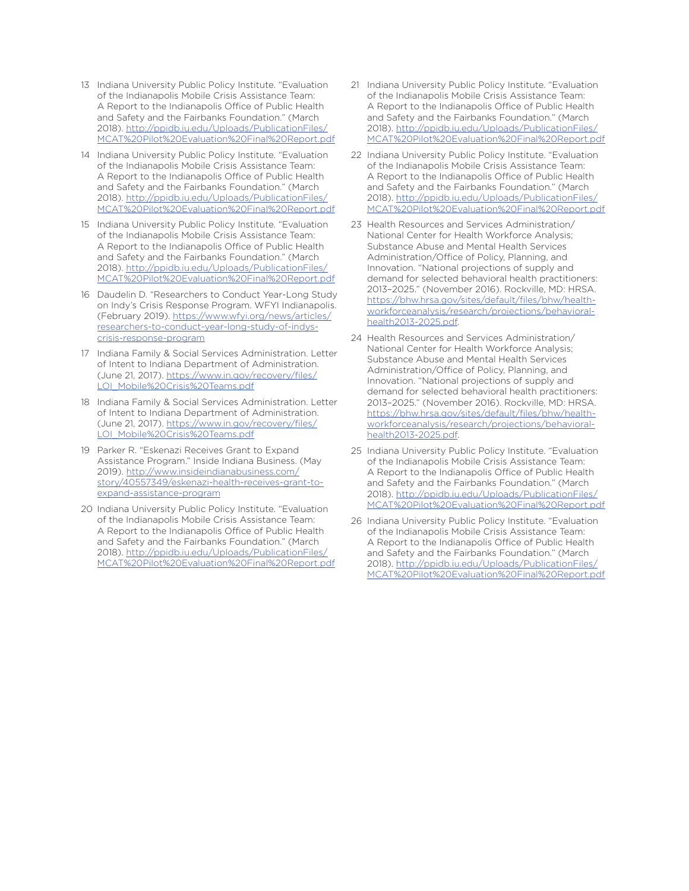- 13 Indiana University Public Policy Institute. "Evaluation of the Indianapolis Mobile Crisis Assistance Team: A Report to the Indianapolis Office of Public Health and Safety and the Fairbanks Foundation." (March 2018). http://ppidb.iu.edu/Uploads/PublicationFiles/ MCAT%20Pilot%20Evaluation%20Final%20Report.pdf
- 14 Indiana University Public Policy Institute. "Evaluation of the Indianapolis Mobile Crisis Assistance Team: A Report to the Indianapolis Office of Public Health and Safety and the Fairbanks Foundation." (March 2018). http://ppidb.iu.edu/Uploads/PublicationFiles/ MCAT%20Pilot%20Evaluation%20Final%20Report.pdf
- 15 Indiana University Public Policy Institute. "Evaluation of the Indianapolis Mobile Crisis Assistance Team: A Report to the Indianapolis Office of Public Health and Safety and the Fairbanks Foundation." (March 2018). http://ppidb.iu.edu/Uploads/PublicationFiles/ MCAT%20Pilot%20Evaluation%20Final%20Report.pdf
- 16 Daudelin D. "Researchers to Conduct Year-Long Study on Indy's Crisis Response Program. WFYI Indianapolis. (February 2019). https://www.wfyi.org/news/articles/ researchers-to-conduct-year-long-study-of-indyscrisis-response-program
- 17 Indiana Family & Social Services Administration. Letter of Intent to Indiana Department of Administration. (June 21, 2017). https://www.in.gov/recovery/files/ LOI\_Mobile%20Crisis%20Teams.pdf
- 18 Indiana Family & Social Services Administration. Letter of Intent to Indiana Department of Administration. (June 21, 2017). https://www.in.gov/recovery/files/ LOI\_Mobile%20Crisis%20Teams.pdf
- 19 Parker R. "Eskenazi Receives Grant to Expand Assistance Program." Inside Indiana Business. (May 2019). http://www.insideindianabusiness.com/ story/40557349/eskenazi-health-receives-grant-toexpand-assistance-program
- 20 Indiana University Public Policy Institute. "Evaluation of the Indianapolis Mobile Crisis Assistance Team: A Report to the Indianapolis Office of Public Health and Safety and the Fairbanks Foundation." (March 2018). http://ppidb.iu.edu/Uploads/PublicationFiles/ MCAT%20Pilot%20Evaluation%20Final%20Report.pdf
- 21 Indiana University Public Policy Institute. "Evaluation of the Indianapolis Mobile Crisis Assistance Team: A Report to the Indianapolis Office of Public Health and Safety and the Fairbanks Foundation." (March 2018). http://ppidb.iu.edu/Uploads/PublicationFiles/ MCAT%20Pilot%20Evaluation%20Final%20Report.pdf
- 22 Indiana University Public Policy Institute. "Evaluation of the Indianapolis Mobile Crisis Assistance Team: A Report to the Indianapolis Office of Public Health and Safety and the Fairbanks Foundation." (March 2018). http://ppidb.iu.edu/Uploads/PublicationFiles/ MCAT%20Pilot%20Evaluation%20Final%20Report.pdf
- 23 Health Resources and Services Administration/ National Center for Health Workforce Analysis; Substance Abuse and Mental Health Services Administration/Office of Policy, Planning, and Innovation. "National projections of supply and demand for selected behavioral health practitioners: 2013–2025." (November 2016). Rockville, MD: HRSA. https://bhw.hrsa.gov/sites/default/files/bhw/healthworkforceanalysis/research/projections/behavioralhealth2013-2025.pdf.
- 24 Health Resources and Services Administration/ National Center for Health Workforce Analysis; Substance Abuse and Mental Health Services Administration/Office of Policy, Planning, and Innovation. "National projections of supply and demand for selected behavioral health practitioners: 2013–2025." (November 2016). Rockville, MD: HRSA. https://bhw.hrsa.gov/sites/default/files/bhw/healthworkforceanalysis/research/projections/behavioralhealth2013-2025.pdf.
- 25 Indiana University Public Policy Institute. "Evaluation of the Indianapolis Mobile Crisis Assistance Team: A Report to the Indianapolis Office of Public Health and Safety and the Fairbanks Foundation." (March 2018). http://ppidb.iu.edu/Uploads/PublicationFiles/ MCAT%20Pilot%20Evaluation%20Final%20Report.pdf
- 26 Indiana University Public Policy Institute. "Evaluation of the Indianapolis Mobile Crisis Assistance Team: A Report to the Indianapolis Office of Public Health and Safety and the Fairbanks Foundation." (March 2018). http://ppidb.iu.edu/Uploads/PublicationFiles/ MCAT%20Pilot%20Evaluation%20Final%20Report.pdf